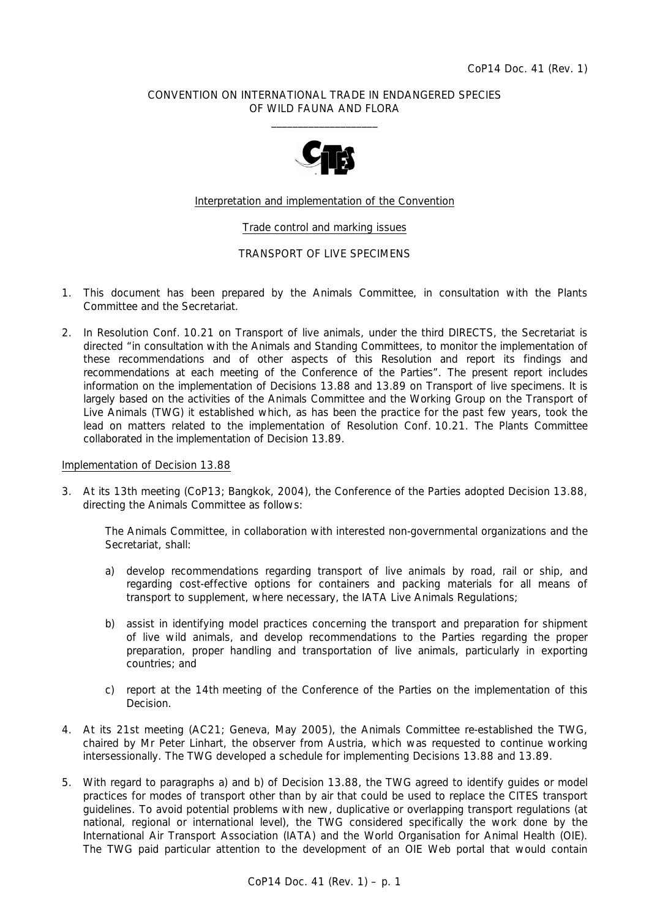## CONVENTION ON INTERNATIONAL TRADE IN ENDANGERED SPECIES OF WILD FAUNA AND FLORA  $\frac{1}{2}$  , and the set of the set of the set of the set of the set of the set of the set of the set of the set of the set of the set of the set of the set of the set of the set of the set of the set of the set of the set



## Interpretation and implementation of the Convention

## Trade control and marking issues

## TRANSPORT OF LIVE SPECIMENS

- 1. This document has been prepared by the Animals Committee, in consultation with the Plants Committee and the Secretariat.
- 2. In Resolution Conf. 10.21 on Transport of live animals, under the third DIRECTS, the Secretariat is directed "in consultation with the Animals and Standing Committees, to monitor the implementation of these recommendations and of other aspects of this Resolution and report its findings and recommendations at each meeting of the Conference of the Parties". The present report includes information on the implementation of Decisions 13.88 and 13.89 on Transport of live specimens. It is largely based on the activities of the Animals Committee and the Working Group on the Transport of Live Animals (TWG) it established which, as has been the practice for the past few years, took the lead on matters related to the implementation of Resolution Conf. 10.21. The Plants Committee collaborated in the implementation of Decision 13.89.

#### Implementation of Decision 13.88

3. At its 13th meeting (CoP13; Bangkok, 2004), the Conference of the Parties adopted Decision 13.88, directing the Animals Committee as follows:

*The Animals Committee, in collaboration with interested non-governmental organizations and the Secretariat, shall:* 

- *a) develop recommendations regarding transport of live animals by road, rail or ship, and regarding cost-effective options for containers and packing materials for all means of transport to supplement, where necessary, the* IATA Live Animals Regulations;
- *b) assist in identifying model practices concerning the transport and preparation for shipment of live wild animals, and develop recommendations to the Parties regarding the proper preparation, proper handling and transportation of live animals, particularly in exporting countries; and*
- *c) report at the 14th meeting of the Conference of the Parties on the implementation of this Decision.*
- 4. At its 21st meeting (AC21; Geneva, May 2005), the Animals Committee re-established the TWG, chaired by Mr Peter Linhart, the observer from Austria, which was requested to continue working intersessionally. The TWG developed a schedule for implementing Decisions 13.88 and 13.89.
- 5. With regard to paragraphs a) and b) of Decision 13.88, the TWG agreed to identify guides or model practices for modes of transport other than by air that could be used to replace the CITES transport guidelines. To avoid potential problems with new, duplicative or overlapping transport regulations (at national, regional or international level), the TWG considered specifically the work done by the International Air Transport Association (IATA) and the World Organisation for Animal Health (OIE). The TWG paid particular attention to the development of an OIE Web portal that would contain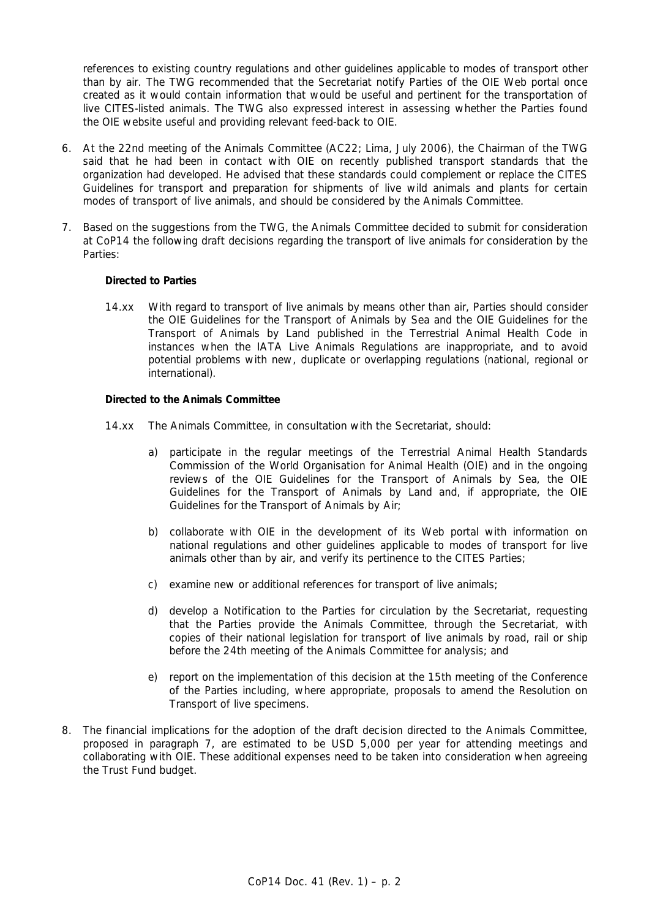references to existing country regulations and other guidelines applicable to modes of transport other than by air. The TWG recommended that the Secretariat notify Parties of the OIE Web portal once created as it would contain information that would be useful and pertinent for the transportation of live CITES-listed animals. The TWG also expressed interest in assessing whether the Parties found the OIE website useful and providing relevant feed-back to OIE.

- 6. At the 22nd meeting of the Animals Committee (AC22; Lima, July 2006), the Chairman of the TWG said that he had been in contact with OIE on recently published transport standards that the organization had developed. He advised that these standards could complement or replace the *CITES*  Guidelines for transport and preparation for shipments of live wild animals and plants for certain modes of transport of live animals, and should be considered by the Animals Committee.
- 7. Based on the suggestions from the TWG, the Animals Committee decided to submit for consideration at CoP14 the following draft decisions regarding the transport of live animals for consideration by the Parties:

## *Directed to Parties*

14.xx With regard to transport of live animals by means other than air, Parties should consider the *OIE Guidelines for the Transport of Animals by Sea* and the *OIE Guidelines for the Transport of Animals by Land* published in the *Terrestrial Animal Health Code* in instances when the *IATA Live Animals Regulations* are inappropriate, and to avoid potential problems with new, duplicate or overlapping regulations (national, regional or international).

## *Directed to the Animals Committee*

- 14.xx The Animals Committee, in consultation with the Secretariat, should:
	- a) participate in the regular meetings of the Terrestrial Animal Health Standards Commission of the World Organisation for Animal Health (OIE) and in the ongoing reviews of the *OIE Guidelines for the Transport of Animals by Sea*, the *OIE Guidelines for the Transport of Animals by Land* and, if appropriate, the *OIE Guidelines for the Transport of Animals by Air*;
	- b) collaborate with OIE in the development of its Web portal with information on national regulations and other guidelines applicable to modes of transport for live animals other than by air, and verify its pertinence to the CITES Parties;
	- c) examine new or additional references for transport of live animals;
	- d) develop a Notification to the Parties for circulation by the Secretariat, requesting that the Parties provide the Animals Committee, through the Secretariat, with copies of their national legislation for transport of live animals by road, rail or ship before the 24th meeting of the Animals Committee for analysis; and
	- e) report on the implementation of this decision at the 15th meeting of the Conference of the Parties including, where appropriate, proposals to amend the Resolution on Transport of live specimens.
- 8. The financial implications for the adoption of the draft decision directed to the Animals Committee, proposed in paragraph 7, are estimated to be USD 5,000 per year for attending meetings and collaborating with OIE. These additional expenses need to be taken into consideration when agreeing the Trust Fund budget.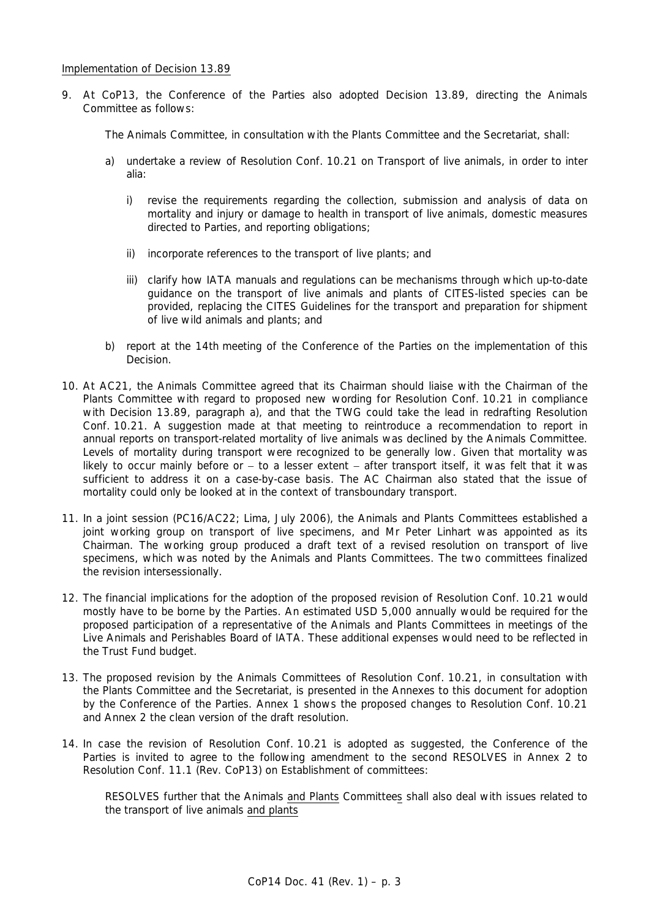9. At CoP13, the Conference of the Parties also adopted Decision 13.89, directing the Animals Committee as follows:

*The Animals Committee, in consultation with the Plants Committee and the Secretariat, shall:* 

- *a) undertake a review of Resolution Conf. 10.21 on Transport of live animals, in order to* inter alia*:* 
	- *i) revise the requirements regarding the collection, submission and analysis of data on mortality and injury or damage to health in transport of live animals, domestic measures directed to Parties, and reporting obligations;*
	- *ii) incorporate references to the transport of live plants; and*
	- *iii) clarify how IATA manuals and regulations can be mechanisms through which up-to-date guidance on the transport of live animals and plants of CITES-listed species can be provided, replacing the* CITES Guidelines for the transport and preparation for shipment of live wild animals and plants*; and*
- *b) report at the 14th meeting of the Conference of the Parties on the implementation of this Decision.*
- 10. At AC21, the Animals Committee agreed that its Chairman should liaise with the Chairman of the Plants Committee with regard to proposed new wording for Resolution Conf. 10.21 in compliance with Decision 13.89, paragraph a), and that the TWG could take the lead in redrafting Resolution Conf. 10.21. A suggestion made at that meeting to reintroduce a recommendation to report in annual reports on transport-related mortality of live animals was declined by the Animals Committee. Levels of mortality during transport were recognized to be generally low. Given that mortality was likely to occur mainly before or - to a lesser extent - after transport itself, it was felt that it was sufficient to address it on a case-by-case basis. The AC Chairman also stated that the issue of mortality could only be looked at in the context of transboundary transport.
- 11. In a joint session (PC16/AC22; Lima, July 2006), the Animals and Plants Committees established a joint working group on transport of live specimens, and Mr Peter Linhart was appointed as its Chairman. The working group produced a draft text of a revised resolution on transport of live specimens, which was noted by the Animals and Plants Committees. The two committees finalized the revision intersessionally.
- 12. The financial implications for the adoption of the proposed revision of Resolution Conf. 10.21 would mostly have to be borne by the Parties. An estimated USD 5,000 annually would be required for the proposed participation of a representative of the Animals and Plants Committees in meetings of the Live Animals and Perishables Board of IATA. These additional expenses would need to be reflected in the Trust Fund budget.
- 13. The proposed revision by the Animals Committees of Resolution Conf. 10.21, in consultation with the Plants Committee and the Secretariat, is presented in the Annexes to this document for adoption by the Conference of the Parties. Annex 1 shows the proposed changes to Resolution Conf. 10.21 and Annex 2 the clean version of the draft resolution.
- 14. In case the revision of Resolution Conf. 10.21 is adopted as suggested, the Conference of the Parties is invited to agree to the following amendment to the second RESOLVES in Annex 2 to Resolution Conf. 11.1 (Rev. CoP13) on Establishment of committees:

RESOLVES further that the Animals and Plants Committees shall also deal with issues related to the transport of live animals and plants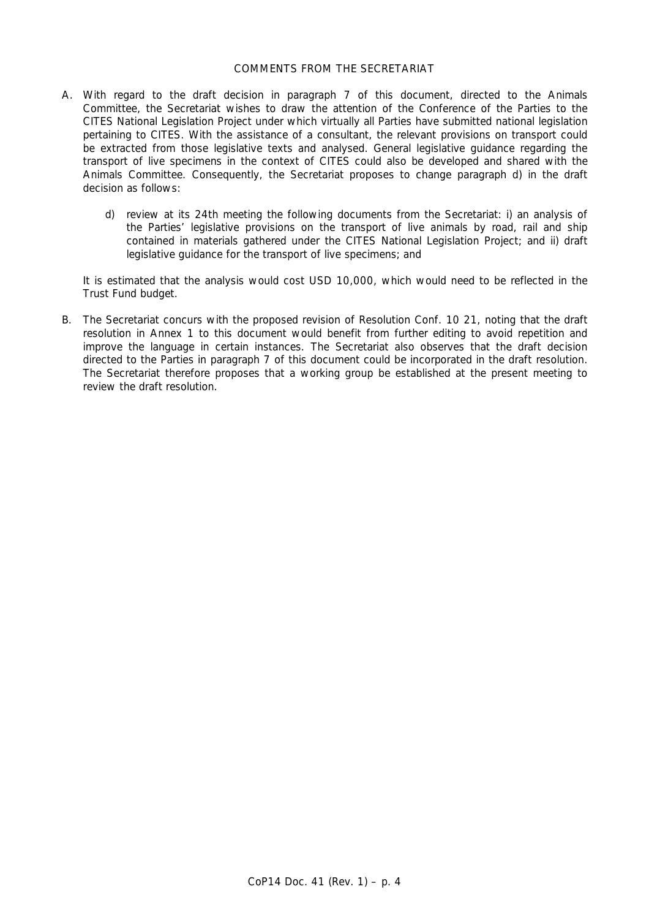## COMMENTS FROM THE SECRETARIAT

- A. With regard to the draft decision in paragraph 7 of this document, directed to the Animals Committee, the Secretariat wishes to draw the attention of the Conference of the Parties to the CITES National Legislation Project under which virtually all Parties have submitted national legislation pertaining to CITES. With the assistance of a consultant, the relevant provisions on transport could be extracted from those legislative texts and analysed. General legislative guidance regarding the transport of live specimens in the context of CITES could also be developed and shared with the Animals Committee. Consequently, the Secretariat proposes to change paragraph d) in the draft decision as follows:
	- d) review at its 24th meeting the following documents from the Secretariat: i) an analysis of the Parties' legislative provisions on the transport of live animals by road, rail and ship contained in materials gathered under the CITES National Legislation Project; and ii) draft legislative guidance for the transport of live specimens; and

 It is estimated that the analysis would cost USD 10,000, which would need to be reflected in the Trust Fund budget.

B. The Secretariat concurs with the proposed revision of Resolution Conf. 10 21, noting that the draft resolution in Annex 1 to this document would benefit from further editing to avoid repetition and improve the language in certain instances. The Secretariat also observes that the draft decision directed to the Parties in paragraph 7 of this document could be incorporated in the draft resolution. The Secretariat therefore proposes that a working group be established at the present meeting to review the draft resolution.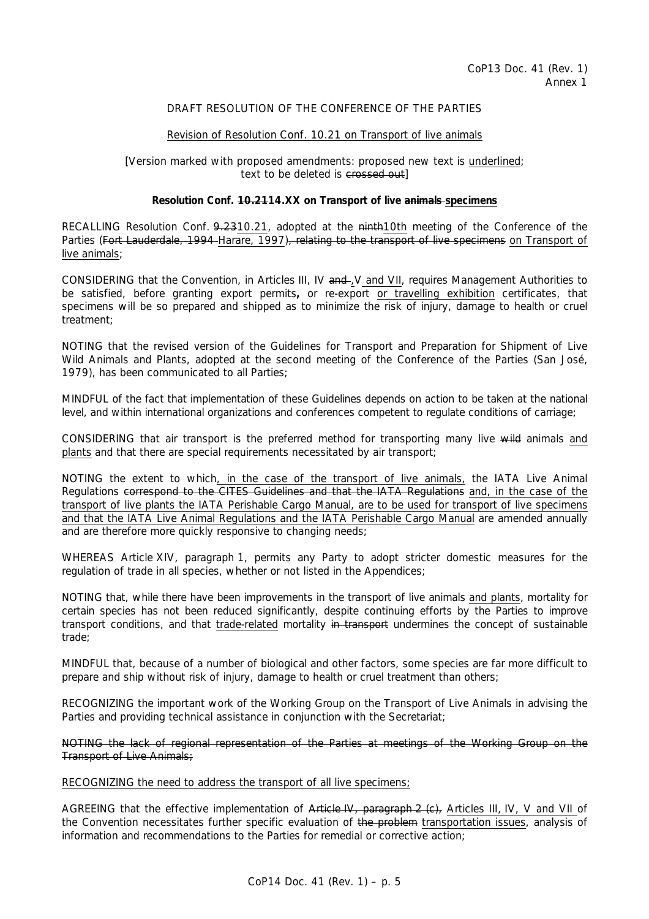# DRAFT RESOLUTION OF THE CONFERENCE OF THE PARTIES

## Revision of Resolution Conf. 10.21 on Transport of live animals

[Version marked with proposed amendments: proposed new text is underlined; text to be deleted is crossed out

## **Resolution Conf. 10.2114.XX on Transport of live animals specimens**

RECALLING Resolution Conf. 9.2310.21, adopted at the ninth10th meeting of the Conference of the Parties (Fort Lauderdale, 1994 Harare, 1997), relating to the transport of live specimens on Transport of live animals;

CONSIDERING that the Convention, in Articles III, IV and -, V and VII, requires Management Authorities to be satisfied, before granting export permits**,** or re-export or travelling exhibition certificates, that specimens will be so prepared and shipped as to minimize the risk of injury, damage to health or cruel treatment;

NOTING that the revised version of the *Guidelines for Transport and Preparation for Shipment of Live Wild Animals and Plants*, adopted at the second meeting of the Conference of the Parties (San José, 1979), has been communicated to all Parties;

MINDFUL of the fact that implementation of these Guidelines depends on action to be taken at the national level, and within international organizations and conferences competent to regulate conditions of carriage;

CONSIDERING that air transport is the preferred method for transporting many live wild animals and plants and that there are special requirements necessitated by air transport;

NOTING the extent to which, in the case of the transport of live animals, the *IATA Live Animal Regulations* correspond to the CITES Guidelines and that the IATA Regulations and, in the case of the transport of live plants the *IATA Perishable Cargo Manual*, are to be used for transport of live specimens and that the *IATA Live Animal Regulations* and the *IATA Perishable Cargo Manual* are amended annually and are therefore more quickly responsive to changing needs;

WHEREAS Article XIV, paragraph 1, permits any Party to adopt stricter domestic measures for the regulation of trade in all species, whether or not listed in the Appendices;

NOTING that, while there have been improvements in the transport of live animals and plants, mortality for certain species has not been reduced significantly, despite continuing efforts by the Parties to improve transport conditions, and that trade-related mortality in transport undermines the concept of sustainable trade;

MINDFUL that, because of a number of biological and other factors, some species are far more difficult to prepare and ship without risk of injury, damage to health or cruel treatment than others;

RECOGNIZING the important work of the Working Group on the Transport of Live Animals in advising the Parties and providing technical assistance in conjunction with the Secretariat;

NOTING the lack of regional representation of the Parties at meetings of the Working Group on the Transport of Live Animals;

#### RECOGNIZING the need to address the transport of all live specimens;

AGREEING that the effective implementation of Article IV, paragraph 2 (c), Articles III, IV, V and VII of the Convention necessitates further specific evaluation of the problem transportation issues, analysis of information and recommendations to the Parties for remedial or corrective action;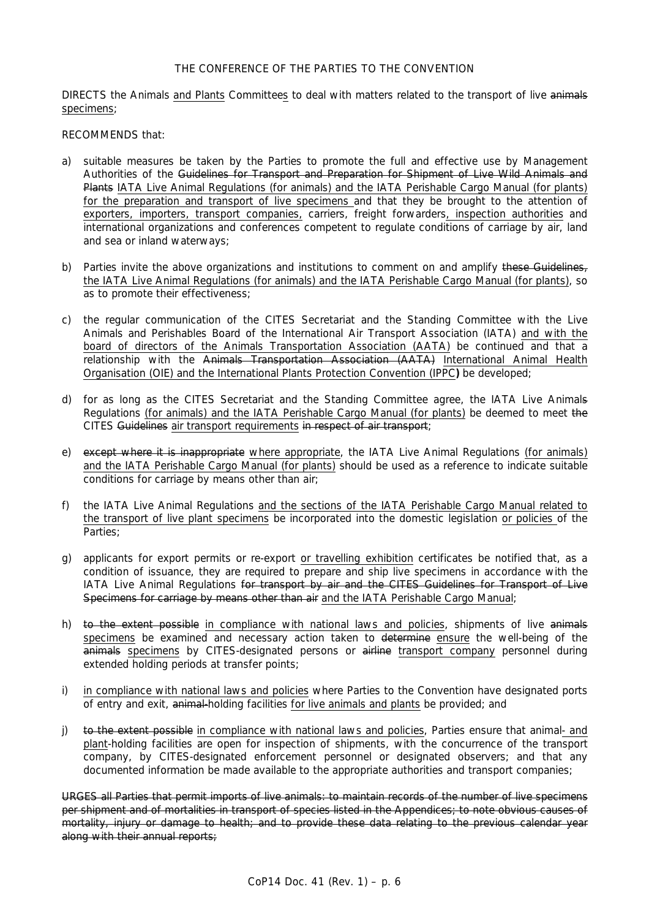# THE CONFERENCE OF THE PARTIES TO THE CONVENTION

DIRECTS the Animals and Plants Committees to deal with matters related to the transport of live animals specimens;

#### RECOMMENDS that:

- a) suitable measures be taken by the Parties to promote the full and effective use by Management Authorities of the Guidelines for Transport and Preparation for Shipment of Live Wild Animals and Plants *IATA Live Animal Regulations* (for animals) and the *IATA Perishable Cargo Manual* (for plants) for the preparation and transport of live specimens and that they be brought to the attention of exporters, importers, transport companies, carriers, freight forwarders, inspection authorities and international organizations and conferences competent to regulate conditions of carriage by air, land and sea or inland waterways;
- b) Parties invite the above organizations and institutions to comment on and amplify these Guidelines, the *IATA Live Animal Regulations* (for animals) and the *IATA Perishable Cargo Manual* (for plants), so as to promote their effectiveness;
- c) the regular communication of the CITES Secretariat and the Standing Committee with the Live Animals and Perishables Board of the International Air Transport Association (IATA) and with the board of directors of the Animals Transportation Association (AATA) be continued and that a relationship with the Animals Transportation Association (AATA) International Animal Health Organisation (OIE) and the International Plants Protection Convention (IPPC**)** be developed;
- d) for as long as the CITES Secretariat and the Standing Committee agree, the IATA Live Animals Regulations (for animals) and the *IATA Perishable Cargo Manual* (for plants) be deemed to meet the CITES Guidelines air transport requirements in respect of air transport;
- e) except where it is inappropriate where appropriate, the *IATA Live Animal Regulations* (for animals) and the *IATA Perishable Cargo Manual* (for plants) should be used as a reference to indicate suitable conditions for carriage by means other than air;
- f) the *IATA Live Animal Regulations* and the sections of the *IATA Perishable Cargo Manual* related to the transport of live plant specimens be incorporated into the domestic legislation or policies of the Parties;
- g) applicants for export permits or re-export or travelling exhibition certificates be notified that, as a condition of issuance, they are required to prepare and ship live specimens in accordance with the *IATA Live Animal Regulations* for transport by air and the CITES Guidelines for Transport of Live Specimens for carriage by means other than air and the *IATA Perishable Cargo Manual*;
- h) to the extent possible in compliance with national laws and policies, shipments of live animals specimens be examined and necessary action taken to determine ensure the well-being of the  $\frac{1}{2}$  animals specimens by CITES-designated persons or airline transport company personnel during extended holding periods at transfer points;
- i) in compliance with national laws and policies where Parties to the Convention have designated ports of entry and exit, animal-holding facilities for live animals and plants be provided; and
- j) to the extent possible in compliance with national laws and policies, Parties ensure that animal- and plant-holding facilities are open for inspection of shipments, with the concurrence of the transport company, by CITES-designated enforcement personnel or designated observers; and that any documented information be made available to the appropriate authorities and transport companies;

URGES all Parties that permit imports of live animals: to maintain records of the number of live specimens per shipment and of mortalities in transport of species listed in the Appendices; to note obvious causes of mortality, injury or damage to health; and to provide these data relating to the previous calendar year along with their annual reports;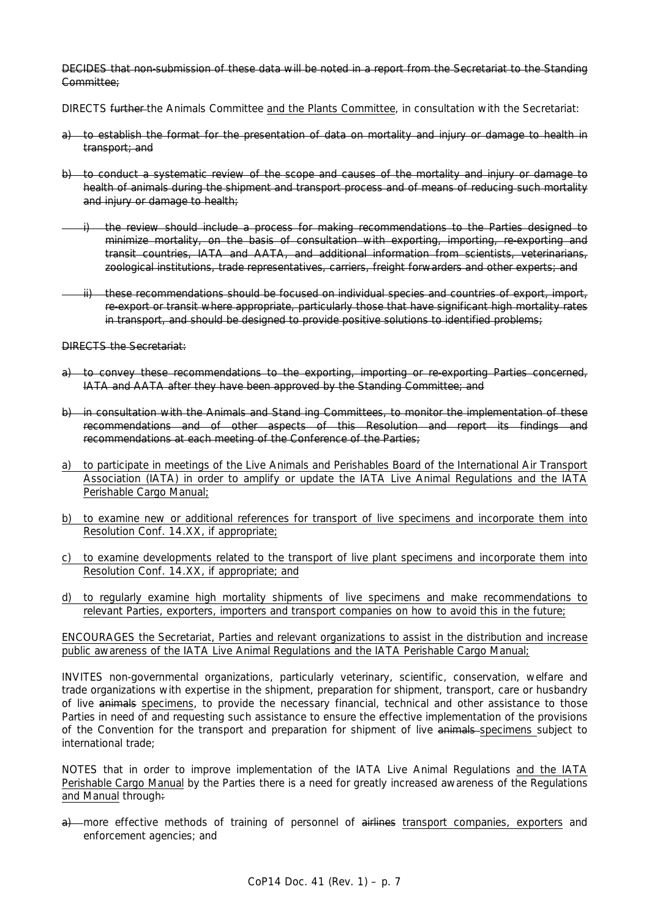DECIDES that non-submission of these data will be noted in a report from the Secretariat to the Standing Committee;

DIRECTS further the Animals Committee and the Plants Committee, in consultation with the Secretariat:

- a) to establish the format for the presentation of data on mortality and injury or damage to health in transport; and
- b) to conduct a systematic review of the scope and causes of the mortality and injury or damage to health of animals during the shipment and transport process and of means of reducing such mortality and injury or damage to health;
- i) the review should include a process for making recommendations to the Parties designed to minimize mortality, on the basis of consultation with exporting, importing, re-exporting and transit countries, IATA and AATA, and additional information from scientists, veterinarians, zoological institutions, trade representatives, carriers, freight forwarders and other experts; and
- ii) these recommendations should be focused on individual species and countries of export, import, re-export or transit where appropriate, particularly those that have significant high mortality rates in transport, and should be designed to provide positive solutions to identified problems;

DIRECTS the Secretariat:

- a) to convey these recommendations to the exporting, importing or re-exporting Parties concerned, IATA and AATA after they have been approved by the Standing Committee; and
- b) in consultation with the Animals and Stand ing Committees, to monitor the implementation of these recommendations and of other aspects of this Resolution and report its findings and recommendations at each meeting of the Conference of the Parties;
- a) to participate in meetings of the Live Animals and Perishables Board of the International Air Transport Association (IATA) in order to amplify or update the *IATA Live Animal Regulations* and the *IATA Perishable Cargo Manual*;
- b) to examine new or additional references for transport of live specimens and incorporate them into Resolution Conf. 14.XX, if appropriate;
- c) to examine developments related to the transport of live plant specimens and incorporate them into Resolution Conf. 14.XX, if appropriate; and
- d) to regularly examine high mortality shipments of live specimens and make recommendations to relevant Parties, exporters, importers and transport companies on how to avoid this in the future;

ENCOURAGES the Secretariat, Parties and relevant organizations to assist in the distribution and increase public awareness of the *IATA Live Animal Regulations* and the *IATA Perishable Cargo Manual*;

INVITES non-governmental organizations, particularly veterinary, scientific, conservation, welfare and trade organizations with expertise in the shipment, preparation for shipment, transport, care or husbandry of live animals specimens, to provide the necessary financial, technical and other assistance to those Parties in need of and requesting such assistance to ensure the effective implementation of the provisions of the Convention for the transport and preparation for shipment of live animals specimens subject to international trade;

NOTES that in order to improve implementation of the *IATA Live Animal Regulations* and the *IATA Perishable Cargo Manual* by the Parties there is a need for greatly increased awareness of the Regulations and Manual through:

a) more effective methods of training of personnel of airlines transport companies, exporters and enforcement agencies; and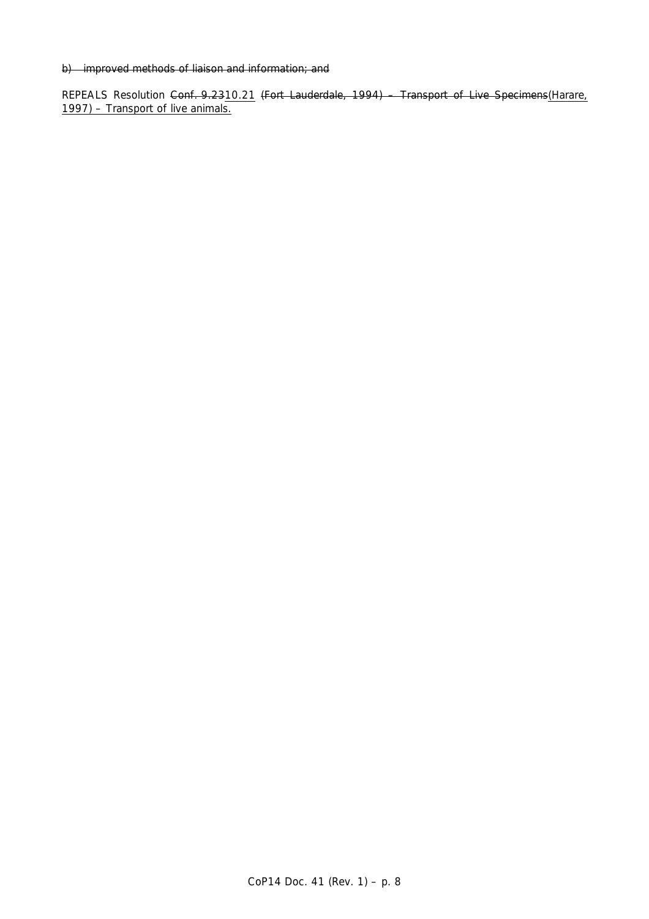# b) improved methods of liaison and information; and

REPEALS Resolution Conf. 9.2310.21 (Fort Lauderdale, 1994) - Transport of Live Specimens(Harare, 1997) – Transport of live animals.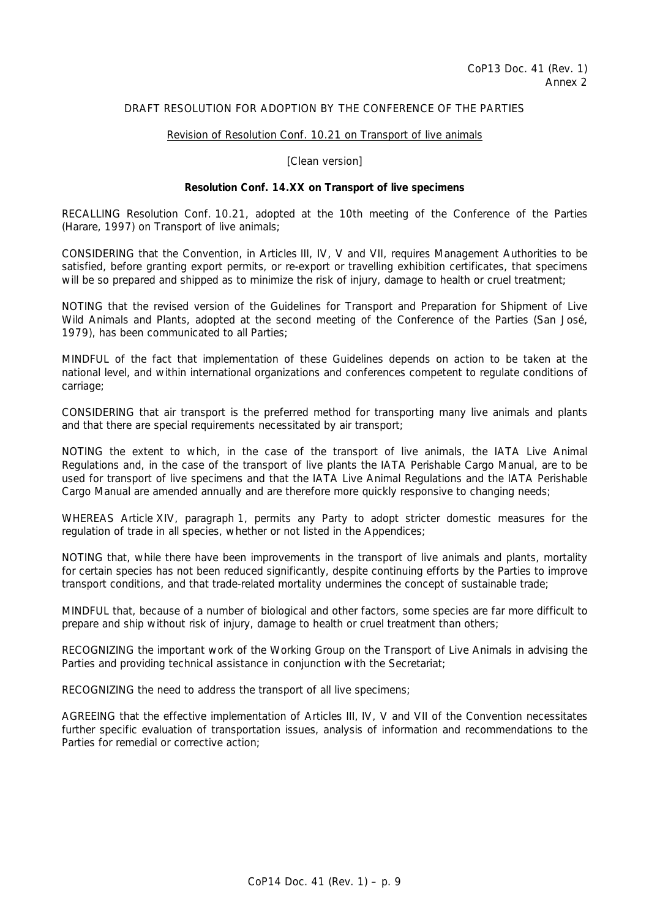# DRAFT RESOLUTION FOR ADOPTION BY THE CONFERENCE OF THE PARTIES

## Revision of Resolution Conf. 10.21 on Transport of live animals

[Clean version]

## **Resolution Conf. 14.XX on Transport of live specimens**

RECALLING Resolution Conf. 10.21, adopted at the 10th meeting of the Conference of the Parties (Harare, 1997) on Transport of live animals;

CONSIDERING that the Convention, in Articles III, IV, V and VII, requires Management Authorities to be satisfied, before granting export permits, or re-export or travelling exhibition certificates, that specimens will be so prepared and shipped as to minimize the risk of injury, damage to health or cruel treatment;

NOTING that the revised version of the *Guidelines for Transport and Preparation for Shipment of Live Wild Animals and Plants*, adopted at the second meeting of the Conference of the Parties (San José, 1979), has been communicated to all Parties;

MINDFUL of the fact that implementation of these Guidelines depends on action to be taken at the national level, and within international organizations and conferences competent to regulate conditions of carriage;

CONSIDERING that air transport is the preferred method for transporting many live animals and plants and that there are special requirements necessitated by air transport;

NOTING the extent to which, in the case of the transport of live animals, the *IATA Live Animal Regulations* and, in the case of the transport of live plants the *IATA Perishable Cargo Manual*, are to be used for transport of live specimens and that the *IATA Live Animal Regulations* and the *IATA Perishable Cargo Manual* are amended annually and are therefore more quickly responsive to changing needs;

WHEREAS Article XIV, paragraph 1, permits any Party to adopt stricter domestic measures for the regulation of trade in all species, whether or not listed in the Appendices;

NOTING that, while there have been improvements in the transport of live animals and plants, mortality for certain species has not been reduced significantly, despite continuing efforts by the Parties to improve transport conditions, and that trade-related mortality undermines the concept of sustainable trade;

MINDFUL that, because of a number of biological and other factors, some species are far more difficult to prepare and ship without risk of injury, damage to health or cruel treatment than others;

RECOGNIZING the important work of the Working Group on the Transport of Live Animals in advising the Parties and providing technical assistance in conjunction with the Secretariat;

RECOGNIZING the need to address the transport of all live specimens;

AGREEING that the effective implementation of Articles III, IV, V and VII of the Convention necessitates further specific evaluation of transportation issues, analysis of information and recommendations to the Parties for remedial or corrective action;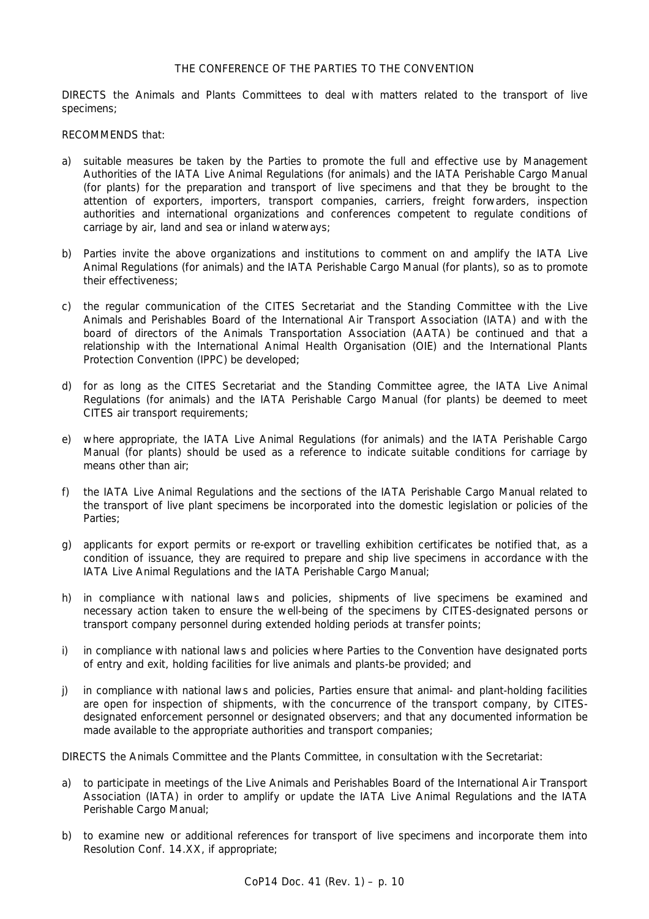## THE CONFERENCE OF THE PARTIES TO THE CONVENTION

DIRECTS the Animals and Plants Committees to deal with matters related to the transport of live specimens;

#### RECOMMENDS that:

- a) suitable measures be taken by the Parties to promote the full and effective use by Management Authorities of the *IATA Live Animal Regulations* (for animals) and the *IATA Perishable Cargo Manual* (for plants) for the preparation and transport of live specimens and that they be brought to the attention of exporters, importers, transport companies, carriers, freight forwarders, inspection authorities and international organizations and conferences competent to regulate conditions of carriage by air, land and sea or inland waterways;
- b) Parties invite the above organizations and institutions to comment on and amplify the *IATA Live Animal Regulations* (for animals) and the *IATA Perishable Cargo Manual* (for plants), so as to promote their effectiveness;
- c) the regular communication of the CITES Secretariat and the Standing Committee with the Live Animals and Perishables Board of the International Air Transport Association (IATA) and with the board of directors of the Animals Transportation Association (AATA) be continued and that a relationship with the International Animal Health Organisation (OIE) and the International Plants Protection Convention (IPPC) be developed;
- d) for as long as the CITES Secretariat and the Standing Committee agree, the *IATA Live Animal Regulations* (for animals) and the *IATA Perishable Cargo Manual* (for plants) be deemed to meet CITES air transport requirements;
- e) where appropriate, the *IATA Live Animal Regulations* (for animals) and the *IATA Perishable Cargo Manual* (for plants) should be used as a reference to indicate suitable conditions for carriage by means other than air;
- f) the *IATA Live Animal Regulations* and the sections of the *IATA Perishable Cargo Manual* related to the transport of live plant specimens be incorporated into the domestic legislation or policies of the Parties;
- g) applicants for export permits or re-export or travelling exhibition certificates be notified that, as a condition of issuance, they are required to prepare and ship live specimens in accordance with the *IATA Live Animal Regulations* and the *IATA Perishable Cargo Manual*;
- h) in compliance with national laws and policies, shipments of live specimens be examined and necessary action taken to ensure the well-being of the specimens by CITES-designated persons or transport company personnel during extended holding periods at transfer points;
- i) in compliance with national laws and policies where Parties to the Convention have designated ports of entry and exit, holding facilities for live animals and plants-be provided; and
- j) in compliance with national laws and policies, Parties ensure that animal- and plant-holding facilities are open for inspection of shipments, with the concurrence of the transport company, by CITESdesignated enforcement personnel or designated observers; and that any documented information be made available to the appropriate authorities and transport companies;

DIRECTS the Animals Committee and the Plants Committee, in consultation with the Secretariat:

- a) to participate in meetings of the Live Animals and Perishables Board of the International Air Transport Association (IATA) in order to amplify or update the *IATA Live Animal Regulations* and the *IATA Perishable Cargo Manual*;
- b) to examine new or additional references for transport of live specimens and incorporate them into Resolution Conf. 14.XX, if appropriate;